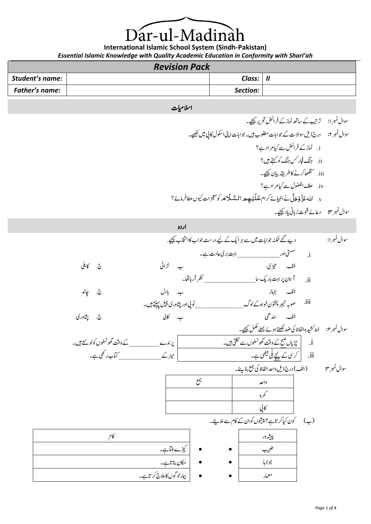Dar-ul-Madinah

**International Islamic School System (Sindh-Pakistan)** *Essential Islamic Knowledge with Quality Academic Education in Conformity with Shari'ah*

# *Revision Pack*

| Student's name: | Class:   | $\mathbf l$ |
|-----------------|----------|-------------|
| Father's name:  | Section: |             |

## اسلامیات

وسال ربمن:۱ رتبیت ےک اسھت امنز ےک رفاضئ رحتری ےیجیک۔ وسال ربمن:۲ درج ذلی وساالت ےک وجاابت ولطمب ںیہ۔وجاابت اینپ اوکسل اکیپ ںیم ےیھکل۔ i. امنز ےک رفاضئ ےس ایک رماد ےہ؟ ii. گنج اجفر سک گنج وک ےتہک ںیہ؟ iii. اھگنک رکےن اک رطہقی ایبن ےیجیک۔ iv. فلح اوضفلل ےس ایک رماد ےہ؟ َ ز َ ہللاع َ ل َ ج َ ه و ےن اایبنےئ رکام ـ ْ ي َ ـل َ ع م م َ ـَل َ الـس وک زجعمات ویکں اطع رفامےئ ؟ .v وسال ربمن:۳ داعےئ ونقت زابین اید ےیجیک۔

$$
+ \frac{1}{2} \int_{-\frac{\pi}{2}}^{+\frac{\pi}{2}} \frac{1}{2} \int_{-\frac{\pi}{2}}^{+\frac{\pi}{2}} \frac{1}{2} \int_{-\frac{\pi}{2}}^{+\frac{\pi}{2}} \frac{1}{2} \int_{-\frac{\pi}{2}}^{+\frac{\pi}{2}} \frac{1}{2} \int_{-\frac{\pi}{2}}^{+\frac{\pi}{2}} \frac{1}{2} \int_{-\frac{\pi}{2}}^{+\frac{\pi}{2}} \frac{1}{2} \int_{-\frac{\pi}{2}}^{+\frac{\pi}{2}} \frac{1}{2} \int_{-\frac{\pi}{2}}^{+\frac{\pi}{2}} \frac{1}{2} \int_{-\frac{\pi}{2}}^{+\frac{\pi}{2}} \frac{1}{2} \int_{-\frac{\pi}{2}}^{+\frac{\pi}{2}} \frac{1}{2} \int_{-\frac{\pi}{2}}^{+\frac{\pi}{2}} \frac{1}{2} \int_{-\frac{\pi}{2}}^{+\frac{\pi}{2}} \frac{1}{2} \int_{-\frac{\pi}{2}}^{+\frac{\pi}{2}} \frac{1}{2} \int_{-\frac{\pi}{2}}^{+\frac{\pi}{2}} \frac{1}{2} \int_{-\frac{\pi}{2}}^{+\frac{\pi}{2}} \frac{1}{2} \int_{-\frac{\pi}{2}}^{+\frac{\pi}{2}} \frac{1}{2} \int_{-\frac{\pi}{2}}^{+\frac{\pi}{2}} \frac{1}{2} \int_{-\frac{\pi}{2}}^{+\frac{\pi}{2}} \frac{1}{2} \int_{-\frac{\pi}{2}}^{+\frac{\pi}{2}} \frac{1}{2} \int_{-\frac{\pi}{2}}^{+\frac{\pi}{2}} \frac{1}{2} \int_{-\frac{\pi}{2}}^{+\frac{\pi}{2}} \frac{1}{2} \int_{-\frac{\pi}{2}}^{+\frac{\pi}{2}} \frac{1}{2} \int_{-\frac{\pi}{2}}^{+\frac{\pi}{2}} \frac{1}{2} \int_{-\frac{\pi}{2}}^{+\frac{\pi}{2}} \frac{1}{2} \int_{-\frac{\pi}{2}}^{+\frac{\pi}{2}} \frac{1}{2} \int_{-\frac{\pi}{2}}^{+\frac{\pi}{2}} \frac{1}{2} \int_{-\frac{\pi}{2}}^{+\frac{\pi}{2}} \frac{1}{2} \int_{-\frac{\pi}{2}}^{+\frac{\pi}{2}} \frac{1}{2} \int_{-\frac{\pi}{2}}^{+\frac{\pi}{2}} \frac{1}{2} \int_{-\frac{\pi}{2}}^{+\frac{\pi}{2}} \frac{1}{2}
$$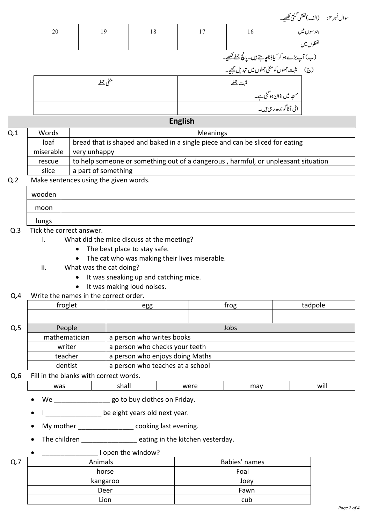|     |       |           |    |                 |                                                             | سوال نمبر ۴:       (الف)لفظي گنتي لکھيے۔                    |  |
|-----|-------|-----------|----|-----------------|-------------------------------------------------------------|-------------------------------------------------------------|--|
|     | 20    | 19        | 18 | 17              | 16                                                          | ہند سوں میں                                                 |  |
|     |       |           |    |                 |                                                             | لفظوں میں                                                   |  |
|     |       |           |    |                 | (ب) آپ بڑے ہو کر کیابنناچاہتے ہیں۔ پانچ <u>جملے لکھ</u> یے۔ |                                                             |  |
|     |       |           |    |                 |                                                             |                                                             |  |
|     |       | منفى جملے |    |                 | مثبت جملے                                                   |                                                             |  |
|     |       |           |    |                 |                                                             | مسجد میں اذان ہو گئی ہے۔<br> <br>  اتّی آٹا گوندھ ربمی ہیں۔ |  |
|     |       |           |    |                 |                                                             |                                                             |  |
|     |       |           |    | <b>English</b>  |                                                             |                                                             |  |
| Q.1 | Words |           |    | <b>Meanings</b> |                                                             |                                                             |  |
|     |       |           |    |                 |                                                             |                                                             |  |

| u.i | vvuus     | IVICUIIIIRJ                                                                       |
|-----|-----------|-----------------------------------------------------------------------------------|
|     | loaf      | bread that is shaped and baked in a single piece and can be sliced for eating     |
|     | miserable | very unhappy                                                                      |
|     | rescue    | to help someone or something out of a dangerous, harmful, or unpleasant situation |
|     | slice     | a part of something                                                               |
|     |           |                                                                                   |

### Q.2 Make sentences using the given words.

| wooden |  |
|--------|--|
| moon   |  |
| lungs  |  |

### Q.3 Tick the correct answer.

- i. What did the mice discuss at the meeting?
	- The best place to stay safe.
	- The cat who was making their lives miserable.
- ii. What was the cat doing?
	- It was sneaking up and catching mice.
	- It was making loud noises.

### Q.4 Write the names in the correct order.

|                                          | froglet       | egg                              | frog | tadpole |  |  |
|------------------------------------------|---------------|----------------------------------|------|---------|--|--|
|                                          |               |                                  |      |         |  |  |
| Q.5                                      | People        | Jobs                             |      |         |  |  |
|                                          | mathematician | a person who writes books        |      |         |  |  |
| a person who checks your teeth<br>writer |               |                                  |      |         |  |  |
|                                          | teacher       | a person who enjoys doing Maths  |      |         |  |  |
|                                          | dentist       | a person who teaches at a school |      |         |  |  |

### Q.6 Fill in the blanks with correct words.

| $\cdots$<br>Wa.<br>$\cdot\cdot\cdot$ |  |  |
|--------------------------------------|--|--|
|                                      |  |  |

• We \_\_\_\_\_\_\_\_\_\_\_\_\_\_\_\_\_ go to buy clothes on Friday.

• I \_\_\_\_\_\_\_\_\_\_\_\_\_\_ be eight years old next year.

- My mother \_\_\_\_\_\_\_\_\_\_\_\_\_\_\_\_\_ cooking last evening.
- The children \_\_\_\_\_\_\_\_\_\_\_\_\_\_\_\_\_ eating in the kitchen yesterday.

## \_\_\_\_\_\_\_\_\_\_\_\_\_\_\_ I open the window?

| Q.7      | Animals | Babies' names |  |  |
|----------|---------|---------------|--|--|
|          | horse   | Foal          |  |  |
| kangaroo |         | Joey          |  |  |
|          | Deer    | Fawn          |  |  |
|          | Lion    | cub           |  |  |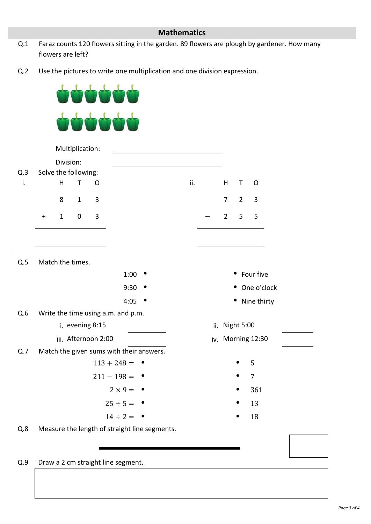## **Mathematics**

- Q.1 Faraz counts 120 flowers sitting in the garden. 89 flowers are plough by gardener. How many flowers are left?
- Q.2 Use the pictures to write one multiplication and one division expression.

ààà



Q.9 Draw a 2 cm straight line segment.